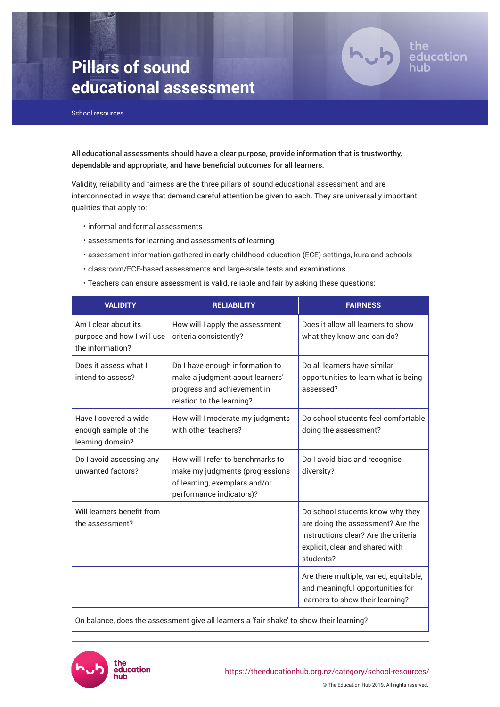# **Pillars of sound educational assessment**



School resources

All educational assessments should have a clear purpose, provide information that is trustworthy, dependable and appropriate, and have beneficial outcomes for **all** learners.

Validity, reliability and fairness are the three pillars of sound educational assessment and are interconnected in ways that demand careful attention be given to each. They are universally important qualities that apply to:

- informal and formal assessments
- assessments **for** learning and assessments **of** learning
- assessment information gathered in early childhood education (ECE) settings, kura and schools
- classroom/ECE-based assessments and large-scale tests and examinations
- Teachers can ensure assessment is valid, reliable and fair by asking these questions:

| <b>VALIDITY</b>                                                        | <b>RELIABILITY</b>                                                                                                                | <b>FAIRNESS</b>                                                                                                                                               |
|------------------------------------------------------------------------|-----------------------------------------------------------------------------------------------------------------------------------|---------------------------------------------------------------------------------------------------------------------------------------------------------------|
| Am I clear about its<br>purpose and how I will use<br>the information? | How will I apply the assessment<br>criteria consistently?                                                                         | Does it allow all learners to show<br>what they know and can do?                                                                                              |
| Does it assess what I<br>intend to assess?                             | Do I have enough information to<br>make a judgment about learners'<br>progress and achievement in<br>relation to the learning?    | Do all learners have similar<br>opportunities to learn what is being<br>assessed?                                                                             |
| Have I covered a wide<br>enough sample of the<br>learning domain?      | How will I moderate my judgments<br>with other teachers?                                                                          | Do school students feel comfortable<br>doing the assessment?                                                                                                  |
| Do I avoid assessing any<br>unwanted factors?                          | How will I refer to benchmarks to<br>make my judgments (progressions<br>of learning, exemplars and/or<br>performance indicators)? | Do I avoid bias and recognise<br>diversity?                                                                                                                   |
| Will learners benefit from<br>the assessment?                          |                                                                                                                                   | Do school students know why they<br>are doing the assessment? Are the<br>instructions clear? Are the criteria<br>explicit, clear and shared with<br>students? |
|                                                                        |                                                                                                                                   | Are there multiple, varied, equitable,<br>and meaningful opportunities for<br>learners to show their learning?                                                |

On balance, does the assessment give all learners a 'fair shake' to show their learning?

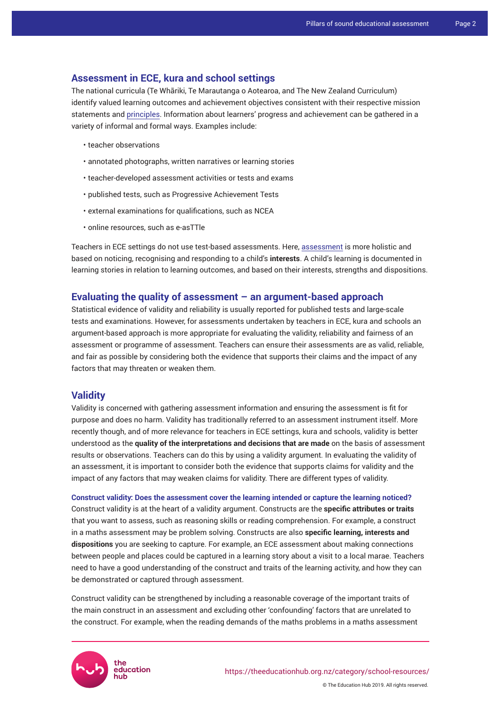### **Assessment in ECE, kura and school settings**

The national curricula (Te Whāriki, Te Marautanga o Aotearoa, and The New Zealand Curriculum) identify valued learning outcomes and achievement objectives consistent with their respective mission statements and [principles](https://theeducationhub.org.nz/category/school-resources/principles-of-assessment/). Information about learners' progress and achievement can be gathered in a variety of informal and formal ways. Examples include:

- teacher observations
- annotated photographs, written narratives or learning stories
- teacher-developed assessment activities or tests and exams
- published tests, such as Progressive Achievement Tests
- external examinations for qualifications, such as NCEA
- online resources, such as e-asTTle

Teachers in ECE settings do not use test-based assessments. Here, [assessment](https://theeducationhub.org.nz/category/ece-resources/assessment-in-ece/) is more holistic and based on noticing, recognising and responding to a child's **interests**. A child's learning is documented in learning stories in relation to learning outcomes, and based on their interests, strengths and dispositions.

## **Evaluating the quality of assessment – an argument-based approach**

Statistical evidence of validity and reliability is usually reported for published tests and large-scale tests and examinations. However, for assessments undertaken by teachers in ECE, kura and schools an argument-based approach is more appropriate for evaluating the validity, reliability and fairness of an assessment or programme of assessment. Teachers can ensure their assessments are as valid, reliable, and fair as possible by considering both the evidence that supports their claims and the impact of any factors that may threaten or weaken them.

#### **Validity**

Validity is concerned with gathering assessment information and ensuring the assessment is fit for purpose and does no harm. Validity has traditionally referred to an assessment instrument itself. More recently though, and of more relevance for teachers in ECE settings, kura and schools, validity is better understood as the **quality of the interpretations and decisions that are made** on the basis of assessment results or observations. Teachers can do this by using a validity argument*.* In evaluating the validity of an assessment, it is important to consider both the evidence that supports claims for validity and the impact of any factors that may weaken claims for validity. There are different types of validity.

**Construct validity: Does the assessment cover the learning intended or capture the learning noticed?**  Construct validity is at the heart of a validity argument. Constructs are the **specific attributes or traits** that you want to assess, such as reasoning skills or reading comprehension. For example, a construct in a maths assessment may be problem solving. Constructs are also **specific learning, interests and dispositions** you are seeking to capture. For example, an ECE assessment about making connections between people and places could be captured in a learning story about a visit to a local marae. Teachers need to have a good understanding of the construct and traits of the learning activity, and how they can be demonstrated or captured through assessment.

Construct validity can be strengthened by including a reasonable coverage of the important traits of the main construct in an assessment and excluding other 'confounding' factors that are unrelated to the construct. For example, when the reading demands of the maths problems in a maths assessment

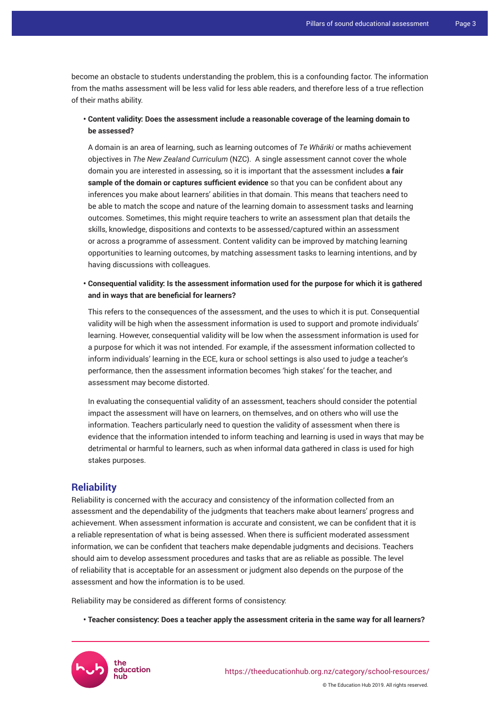become an obstacle to students understanding the problem, this is a confounding factor. The information from the maths assessment will be less valid for less able readers, and therefore less of a true reflection of their maths ability.

## **• Content validity: Does the assessment include a reasonable coverage of the learning domain to be assessed?**

A domain is an area of learning, such as learning outcomes of *Te Whāriki* or maths achievement objectives in *The New Zealand Curriculum* (NZC). A single assessment cannot cover the whole domain you are interested in assessing, so it is important that the assessment includes **a fair sample of the domain or captures sufficient evidence** so that you can be confident about any inferences you make about learners' abilities in that domain. This means that teachers need to be able to match the scope and nature of the learning domain to assessment tasks and learning outcomes. Sometimes, this might require teachers to write an assessment plan that details the skills, knowledge, dispositions and contexts to be assessed/captured within an assessment or across a programme of assessment. Content validity can be improved by matching learning opportunities to learning outcomes, by matching assessment tasks to learning intentions, and by having discussions with colleagues.

**• Consequential validity: Is the assessment information used for the purpose for which it is gathered and in ways that are beneficial for learners?**

This refers to the consequences of the assessment, and the uses to which it is put. Consequential validity will be high when the assessment information is used to support and promote individuals' learning. However, consequential validity will be low when the assessment information is used for a purpose for which it was not intended. For example, if the assessment information collected to inform individuals' learning in the ECE, kura or school settings is also used to judge a teacher's performance, then the assessment information becomes 'high stakes' for the teacher, and assessment may become distorted.

In evaluating the consequential validity of an assessment, teachers should consider the potential impact the assessment will have on learners, on themselves, and on others who will use the information. Teachers particularly need to question the validity of assessment when there is evidence that the information intended to inform teaching and learning is used in ways that may be detrimental or harmful to learners, such as when informal data gathered in class is used for high stakes purposes.

## **Reliability**

Reliability is concerned with the accuracy and consistency of the information collected from an assessment and the dependability of the judgments that teachers make about learners' progress and achievement. When assessment information is accurate and consistent, we can be confident that it is a reliable representation of what is being assessed. When there is sufficient moderated assessment information, we can be confident that teachers make dependable judgments and decisions. Teachers should aim to develop assessment procedures and tasks that are as reliable as possible. The level of reliability that is acceptable for an assessment or judgment also depends on the purpose of the assessment and how the information is to be used.

Reliability may be considered as different forms of consistency:

**• Teacher consistency: Does a teacher apply the assessment criteria in the same way for all learners?**



© The Education Hub 2019. All rights reserved.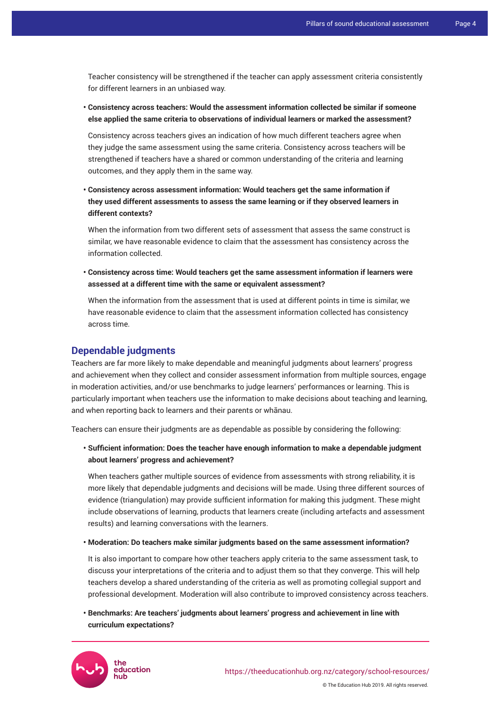Teacher consistency will be strengthened if the teacher can apply assessment criteria consistently for different learners in an unbiased way.

**• Consistency across teachers: Would the assessment information collected be similar if someone else applied the same criteria to observations of individual learners or marked the assessment?**

Consistency across teachers gives an indication of how much different teachers agree when they judge the same assessment using the same criteria. Consistency across teachers will be strengthened if teachers have a shared or common understanding of the criteria and learning outcomes, and they apply them in the same way.

**• Consistency across assessment information: Would teachers get the same information if they used different assessments to assess the same learning or if they observed learners in different contexts?**

When the information from two different sets of assessment that assess the same construct is similar, we have reasonable evidence to claim that the assessment has consistency across the information collected.

**• Consistency across time: Would teachers get the same assessment information if learners were assessed at a different time with the same or equivalent assessment?** 

When the information from the assessment that is used at different points in time is similar, we have reasonable evidence to claim that the assessment information collected has consistency across time.

# **Dependable judgments**

Teachers are far more likely to make dependable and meaningful judgments about learners' progress and achievement when they collect and consider assessment information from multiple sources, engage in moderation activities, and/or use benchmarks to judge learners' performances or learning. This is particularly important when teachers use the information to make decisions about teaching and learning, and when reporting back to learners and their parents or whānau.

Teachers can ensure their judgments are as dependable as possible by considering the following:

**• Sufficient information: Does the teacher have enough information to make a dependable judgment about learners' progress and achievement?**

When teachers gather multiple sources of evidence from assessments with strong reliability, it is more likely that dependable judgments and decisions will be made. Using three different sources of evidence (triangulation) may provide sufficient information for making this judgment. These might include observations of learning, products that learners create (including artefacts and assessment results) and learning conversations with the learners.

**• Moderation: Do teachers make similar judgments based on the same assessment information?** 

It is also important to compare how other teachers apply criteria to the same assessment task, to discuss your interpretations of the criteria and to adjust them so that they converge. This will help teachers develop a shared understanding of the criteria as well as promoting collegial support and professional development. Moderation will also contribute to improved consistency across teachers.

**• Benchmarks: Are teachers' judgments about learners' progress and achievement in line with curriculum expectations?**

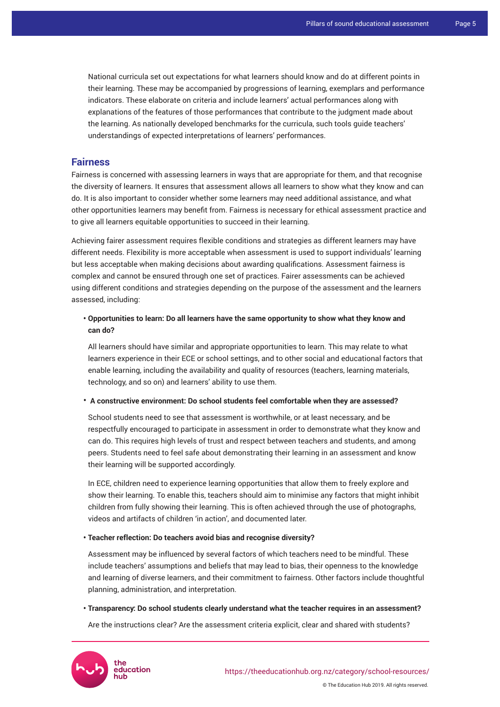National curricula set out expectations for what learners should know and do at different points in their learning. These may be accompanied by progressions of learning, exemplars and performance indicators. These elaborate on criteria and include learners' actual performances along with explanations of the features of those performances that contribute to the judgment made about the learning. As nationally developed benchmarks for the curricula, such tools guide teachers' understandings of expected interpretations of learners' performances.

## **Fairness**

Fairness is concerned with assessing learners in ways that are appropriate for them, and that recognise the diversity of learners. It ensures that assessment allows all learners to show what they know and can do. It is also important to consider whether some learners may need additional assistance, and what other opportunities learners may benefit from. Fairness is necessary for ethical assessment practice and to give all learners equitable opportunities to succeed in their learning.

Achieving fairer assessment requires flexible conditions and strategies as different learners may have different needs. Flexibility is more acceptable when assessment is used to support individuals' learning but less acceptable when making decisions about awarding qualifications. Assessment fairness is complex and cannot be ensured through one set of practices. Fairer assessments can be achieved using different conditions and strategies depending on the purpose of the assessment and the learners assessed, including:

## **• Opportunities to learn: Do all learners have the same opportunity to show what they know and can do?**

All learners should have similar and appropriate opportunities to learn. This may relate to what learners experience in their ECE or school settings, and to other social and educational factors that enable learning, including the availability and quality of resources (teachers, learning materials, technology, and so on) and learners' ability to use them.

#### • **A constructive environment: Do school students feel comfortable when they are assessed?**

School students need to see that assessment is worthwhile, or at least necessary, and be respectfully encouraged to participate in assessment in order to demonstrate what they know and can do. This requires high levels of trust and respect between teachers and students, and among peers. Students need to feel safe about demonstrating their learning in an assessment and know their learning will be supported accordingly.

In ECE, children need to experience learning opportunities that allow them to freely explore and show their learning. To enable this, teachers should aim to minimise any factors that might inhibit children from fully showing their learning. This is often achieved through the use of photographs, videos and artifacts of children 'in action', and documented later.

#### **• Teacher reflection: Do teachers avoid bias and recognise diversity?**

Assessment may be influenced by several factors of which teachers need to be mindful. These include teachers' assumptions and beliefs that may lead to bias, their openness to the knowledge and learning of diverse learners, and their commitment to fairness. Other factors include thoughtful planning, administration, and interpretation.

#### **• Transparency: Do school students clearly understand what the teacher requires in an assessment?**

Are the instructions clear? Are the assessment criteria explicit, clear and shared with students?